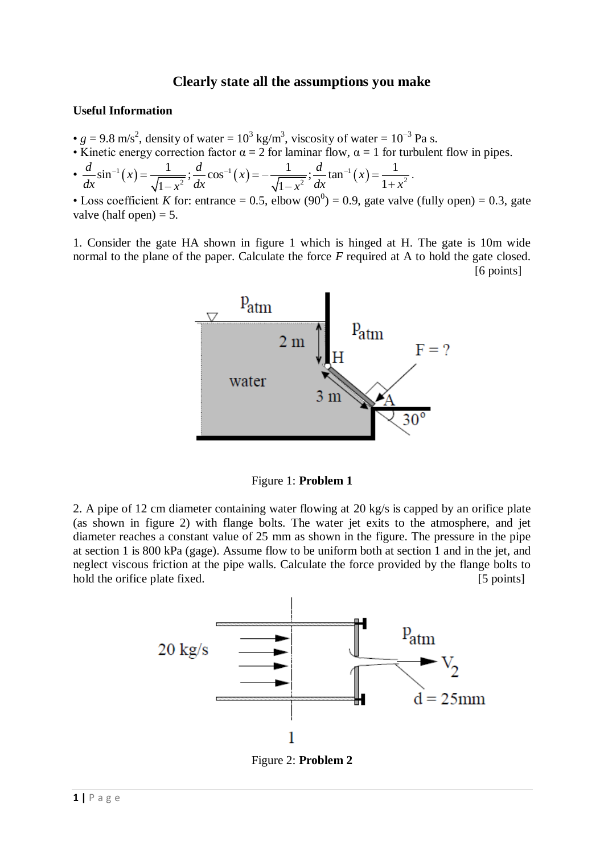# **Clearly state all the assumptions you make**

### **Useful Information**

- $g = 9.8$  m/s<sup>2</sup>, density of water =  $10^3$  kg/m<sup>3</sup>, viscosity of water =  $10^{-3}$  Pa s.
- Kinetic energy correction factor  $\alpha = 2$  for laminar flow,  $\alpha = 1$  for turbulent flow in pipes.
- Kinetic energy correction factor  $\alpha = 2$  for laminar flow,  $\alpha =$ <br>
  $\frac{d}{dx} \sin^{-1}(x) = \frac{1}{\sqrt{1-x^2}}$ ;  $\frac{d}{dx} \cos^{-1}(x) = -\frac{1}{\sqrt{1-x^2}}$ ;  $\frac{d}{dx} \tan^{-1}(x)$ 9.8 m/s<sup>2</sup>, density of water = 10<sup>3</sup> kg/m<sup>3</sup>, viscosity of water = 10<sup>-</sup><br>etic energy correction factor  $\alpha = 2$  for laminar flow,  $\alpha = 1$  for tu<br> $\sin^{-1}(x) = \frac{1}{\sqrt{1-x^2}}$ ;  $\frac{d}{dx} \cos^{-1}(x) = -\frac{1}{\sqrt{1-x^2}}$ ;  $\frac{d}{dx} \tan^{-1}(x) = \frac{$ correction factor  $\alpha = 2$  for laminar flow,  $\alpha = 1$  for  $\frac{1}{1 - x^2}$ ;  $\frac{d}{dx} \cos^{-1}(x) = -\frac{1}{\sqrt{1 - x^2}}$ ;  $\frac{d}{dx} \tan^{-1}(x) = -\frac{1}{1 - x^2}$ .  $d = 9.8$  m/s<sup>2</sup>, density of water = 10<sup>3</sup> kg/m<sup>3</sup>, viscosity of wa<br> *Z*inetic energy correction factor  $\alpha = 2$  for laminar flow,  $\alpha = d$ <br>  $\frac{d}{dx} \sin^{-1}(x) = \frac{1}{\sqrt{1-x^2}}$ ;  $\frac{d}{dx} \cos^{-1}(x) = -\frac{1}{\sqrt{1-x^2}}$ ;  $\frac{d}{dx} \tan^{-1}(x)$ Xinetic energy correction factor  $\alpha = 2$  for laminar flow,  $\alpha = 1$  for t<br>  $\frac{d}{dx} \sin^{-1}(x) = \frac{1}{\sqrt{1-x^2}}$ ;  $\frac{d}{dx} \cos^{-1}(x) = -\frac{1}{\sqrt{1-x^2}}$ ;  $\frac{d}{dx} \tan^{-1}(x) = \frac{1}{1+x}$ <br>
Loss coefficient K for: entrance = 0.5 elbow (90<sup>0</sup>) = , density of water = 10<sup>3</sup> kg/m<sup>3</sup>, viscosity of water = 10<sup>-3</sup> Pa<br>gy correction factor  $\alpha = 2$  for laminar flow,  $\alpha = 1$  for turbul<br>=  $\frac{1}{\sqrt{1-x^2}}$ ;  $\frac{d}{dx}$  cos<sup>-1</sup> (x) =  $\frac{1}{\sqrt{1-x^2}}$ ;  $\frac{d}{dx}$  tan<sup>-1</sup> (x) =  $\frac{$ orrection factor  $\alpha = 2$  for laminar flow,  $\alpha = 1$  for <br>  $\frac{1}{1-x^2}$ ;  $\frac{d}{dx}$  cos<sup>-1</sup> (x) =  $-\frac{1}{\sqrt{1-x^2}}$ ;  $\frac{d}{dx}$  tan<sup>-1</sup> (x) =  $\frac{1}{1+x^2}$

• Loss coefficient *K* for: entrance = 0.5, elbow  $(90^0) = 0.9$ , gate valve (fully open) = 0.3, gate valve (half open)  $= 5$ .

.

1. Consider the gate HA shown in figure 1 which is hinged at H. The gate is 10m wide normal to the plane of the paper. Calculate the force *F* required at A to hold the gate closed. [6 points]



Figure 1: **Problem 1**

2. A pipe of 12 cm diameter containing water flowing at 20 kg/s is capped by an orifice plate (as shown in figure 2) with flange bolts. The water jet exits to the atmosphere, and jet diameter reaches a constant value of 25 mm as shown in the figure. The pressure in the pipe at section 1 is 800 kPa (gage). Assume flow to be uniform both at section 1 and in the jet, and neglect viscous friction at the pipe walls. Calculate the force provided by the flange bolts to hold the orifice plate fixed. [5 points]



Figure 2: **Problem 2**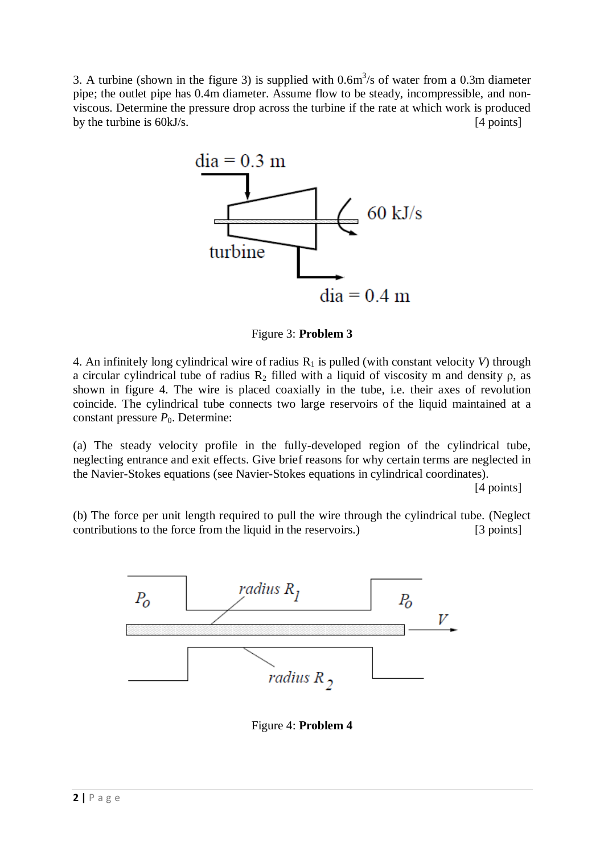3. A turbine (shown in the figure 3) is supplied with  $0.6m<sup>3</sup>/s$  of water from a 0.3m diameter pipe; the outlet pipe has 0.4m diameter. Assume flow to be steady, incompressible, and nonviscous. Determine the pressure drop across the turbine if the rate at which work is produced by the turbine is 60kJ/s. [4 points]



Figure 3: **Problem 3**

4. An infinitely long cylindrical wire of radius  $R_1$  is pulled (with constant velocity *V*) through a circular cylindrical tube of radius  $R_2$  filled with a liquid of viscosity m and density  $\rho$ , as shown in figure 4. The wire is placed coaxially in the tube, i.e. their axes of revolution coincide. The cylindrical tube connects two large reservoirs of the liquid maintained at a constant pressure  $P_0$ . Determine:

(a) The steady velocity profile in the fully-developed region of the cylindrical tube, neglecting entrance and exit effects. Give brief reasons for why certain terms are neglected in the Navier-Stokes equations (see Navier-Stokes equations in cylindrical coordinates).

[4 points]

(b) The force per unit length required to pull the wire through the cylindrical tube. (Neglect contributions to the force from the liquid in the reservoirs.) [3 points]



Figure 4: **Problem 4**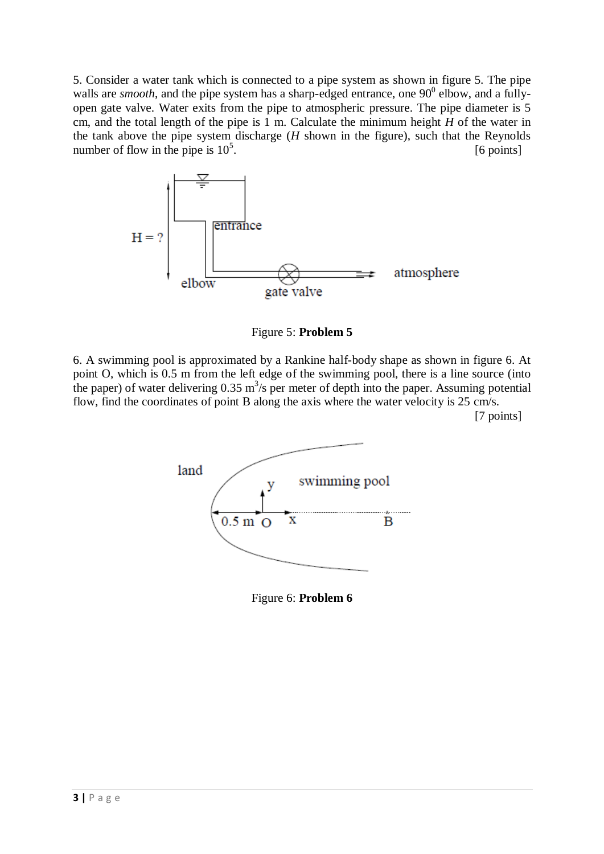5. Consider a water tank which is connected to a pipe system as shown in figure 5. The pipe walls are *smooth*, and the pipe system has a sharp-edged entrance, one  $90^{\circ}$  elbow, and a fullyopen gate valve. Water exits from the pipe to atmospheric pressure. The pipe diameter is 5 cm, and the total length of the pipe is 1 m. Calculate the minimum height  $H$  of the water in the tank above the pipe system discharge (*H* shown in the figure), such that the Reynolds number of flow in the pipe is  $10^5$ . [6 points]



Figure 5: **Problem 5**

6. A swimming pool is approximated by a Rankine half-body shape as shown in figure 6. At point O, which is 0.5 m from the left edge of the swimming pool, there is a line source (into the paper) of water delivering  $0.35 \text{ m}^3/\text{s}$  per meter of depth into the paper. Assuming potential flow, find the coordinates of point B along the axis where the water velocity is 25 cm/s.

[7 points]



Figure 6: **Problem 6**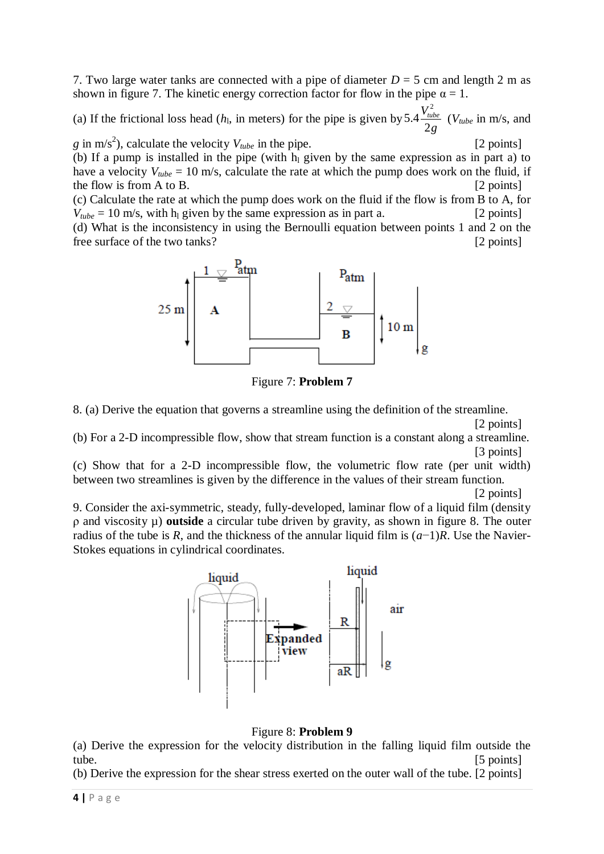7. Two large water tanks are connected with a pipe of diameter  $D = 5$  cm and length 2 m as shown in figure 7. The kinetic energy correction factor for flow in the pipe  $\alpha = 1$ .

(a) If the frictional loss head  $(h<sub>l</sub>,$  in meters) for the pipe is given by 2 5.4 2  $V_{tube}^2$ *g* (*Vtube* in m/s, and

*g* in m/s<sup>2</sup>), calculate the velocity  $V_{tube}$  in the pipe. [2 points] (b) If a pump is installed in the pipe (with  $h<sub>l</sub>$  given by the same expression as in part a) to have a velocity  $V_{tube} = 10 \text{ m/s}$ , calculate the rate at which the pump does work on the fluid, if the flow is from A to B. [2 points]

(c) Calculate the rate at which the pump does work on the fluid if the flow is from B to A, for  $V_{tube} = 10 \text{ m/s}$ , with h<sub>l</sub> given by the same expression as in part a. [2 points]

(d) What is the inconsistency in using the Bernoulli equation between points 1 and 2 on the free surface of the two tanks? [2 points]



Figure 7: **Problem 7**

8. (a) Derive the equation that governs a streamline using the definition of the streamline.

[2 points]

(b) For a 2-D incompressible flow, show that stream function is a constant along a streamline. [3 points]

(c) Show that for a 2-D incompressible flow, the volumetric flow rate (per unit width) between two streamlines is given by the difference in the values of their stream function.

[2 points]

9. Consider the axi-symmetric, steady, fully-developed, laminar flow of a liquid film (density ρ and viscosity µ) **outside** a circular tube driven by gravity, as shown in figure 8. The outer radius of the tube is *R*, and the thickness of the annular liquid film is (*a*−1)*R*. Use the Navier-Stokes equations in cylindrical coordinates.



## Figure 8: **Problem 9**

(a) Derive the expression for the velocity distribution in the falling liquid film outside the tube. [5 points]

(b) Derive the expression for the shear stress exerted on the outer wall of the tube. [2 points]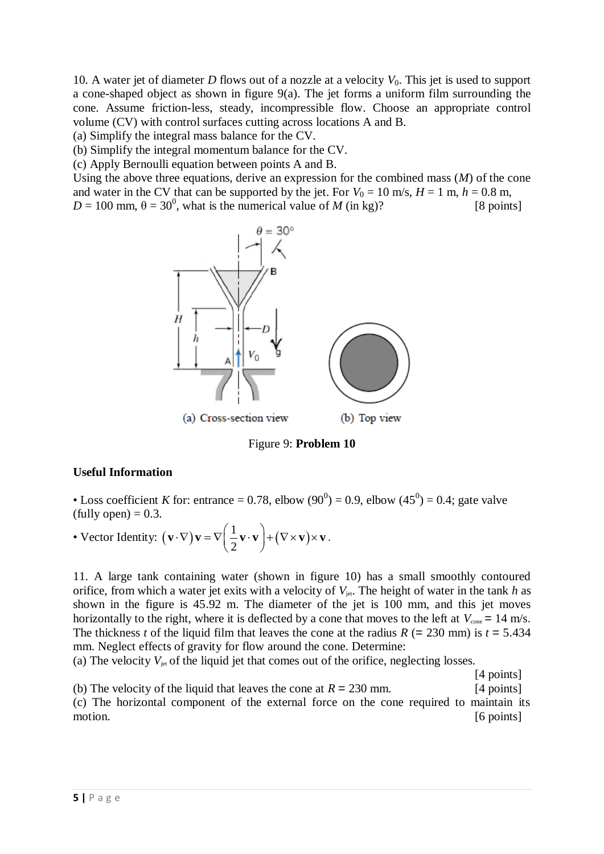10. A water jet of diameter *D* flows out of a nozzle at a velocity *V*0. This jet is used to support a cone-shaped object as shown in figure 9(a). The jet forms a uniform film surrounding the cone. Assume friction-less, steady, incompressible flow. Choose an appropriate control volume (CV) with control surfaces cutting across locations A and B.

(a) Simplify the integral mass balance for the CV.

(b) Simplify the integral momentum balance for the CV.

(c) Apply Bernoulli equation between points A and B.

Using the above three equations, derive an expression for the combined mass (*M*) of the cone and water in the CV that can be supported by the jet. For  $V_0 = 10$  m/s,  $H = 1$  m,  $h = 0.8$  m,  $D = 100$  mm,  $\theta = 30^0$ , what is the numerical value of *M* (in kg)? [8 points]



Figure 9: **Problem 10**

#### **Useful Information**

• Loss coefficient *K* for: entrance = 0.78, elbow  $(90^0) = 0.9$ , elbow  $(45^0) = 0.4$ ; gate valve  $(tully open) = 0.3.$ 

(tully open) = 0.3.  
\n• Vector Identity: 
$$
(\mathbf{v} \cdot \nabla) \mathbf{v} = \nabla \left( \frac{1}{2} \mathbf{v} \cdot \mathbf{v} \right) + (\nabla \times \mathbf{v}) \times \mathbf{v}.
$$

11. A large tank containing water (shown in figure 10) has a small smoothly contoured orifice, from which a water jet exits with a velocity of  $V_{jet}$ . The height of water in the tank *h* as shown in the figure is 45.92 m. The diameter of the jet is 100 mm, and this jet moves horizontally to the right, where it is deflected by a cone that moves to the left at  $V_{\text{cone}} = 14 \text{ m/s}$ . The thickness *t* of the liquid film that leaves the cone at the radius  $R$  (= 230 mm) is  $t = 5.434$ mm. Neglect effects of gravity for flow around the cone. Determine:

(a) The velocity  $V_{jet}$  of the liquid jet that comes out of the orifice, neglecting losses.

[4 points] (b) The velocity of the liquid that leaves the cone at  $R = 230$  mm. [4 points] (c) The horizontal component of the external force on the cone required to maintain its motion. [6 points]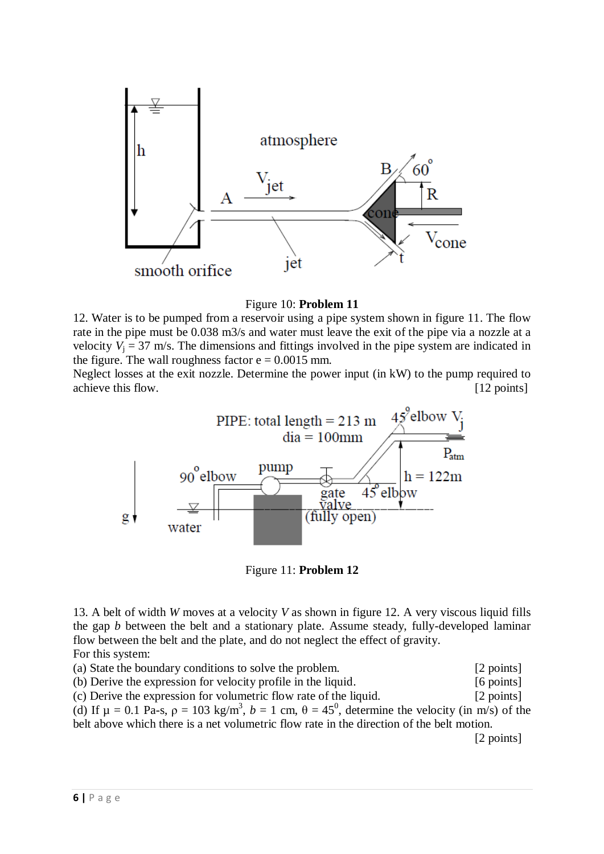

Figure 10: **Problem 11**

12. Water is to be pumped from a reservoir using a pipe system shown in figure 11. The flow rate in the pipe must be 0.038 m3/s and water must leave the exit of the pipe via a nozzle at a velocity  $V_i = 37$  m/s. The dimensions and fittings involved in the pipe system are indicated in the figure. The wall roughness factor  $e = 0.0015$  mm.

Neglect losses at the exit nozzle. Determine the power input (in kW) to the pump required to achieve this flow. [12 points]



Figure 11: **Problem 12**

13. A belt of width *W* moves at a velocity *V* as shown in figure 12. A very viscous liquid fills the gap *b* between the belt and a stationary plate. Assume steady, fully-developed laminar flow between the belt and the plate, and do not neglect the effect of gravity. For this system:

(a) State the boundary conditions to solve the problem. [2 points] (b) Derive the expression for velocity profile in the liquid. [6 points] (c) Derive the expression for volumetric flow rate of the liquid. [2 points] (d) If  $\mu = 0.1$  Pa-s,  $\rho = 103$  kg/m<sup>3</sup>,  $b = 1$  cm,  $\theta = 45^\circ$ , determine the velocity (in m/s) of the belt above which there is a net volumetric flow rate in the direction of the belt motion. [2 points]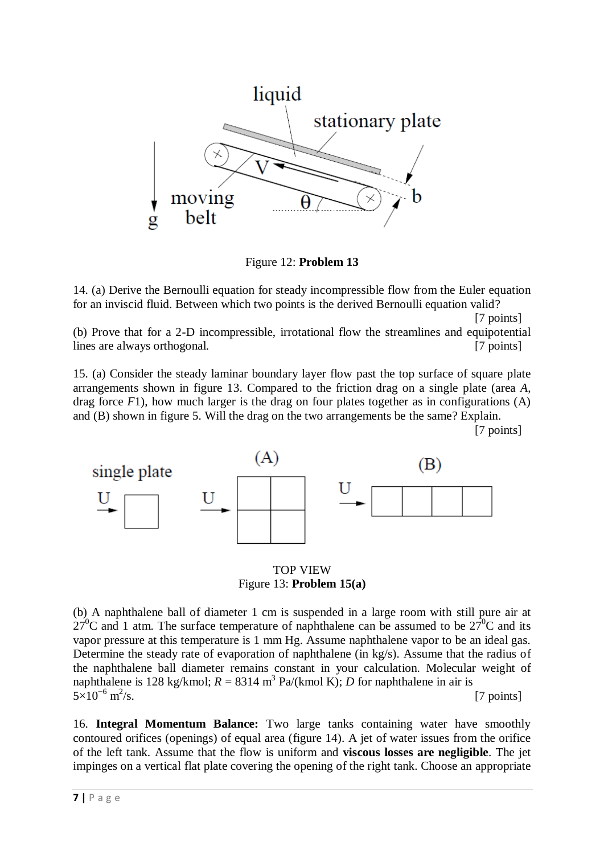

Figure 12: **Problem 13**

14. (a) Derive the Bernoulli equation for steady incompressible flow from the Euler equation for an inviscid fluid. Between which two points is the derived Bernoulli equation valid?

[7 points]

(b) Prove that for a 2-D incompressible, irrotational flow the streamlines and equipotential lines are always orthogonal. [7 points]

15. (a) Consider the steady laminar boundary layer flow past the top surface of square plate arrangements shown in figure 13. Compared to the friction drag on a single plate (area *A*, drag force *F*1), how much larger is the drag on four plates together as in configurations (A) and (B) shown in figure 5. Will the drag on the two arrangements be the same? Explain.

[7 points]



TOP VIEW Figure 13: **Problem 15(a)**

(b) A naphthalene ball of diameter 1 cm is suspended in a large room with still pure air at  $27^0$ C and 1 atm. The surface temperature of naphthalene can be assumed to be  $27^0$ C and its vapor pressure at this temperature is 1 mm Hg. Assume naphthalene vapor to be an ideal gas. Determine the steady rate of evaporation of naphthalene (in kg/s). Assume that the radius of the naphthalene ball diameter remains constant in your calculation. Molecular weight of naphthalene is 128 kg/kmol;  $R = 8314 \text{ m}^3 \text{ Pa/(kmol K)}$ ; *D* for naphthalene in air is  $5\times10^{-6}$  m<sup>2</sup>  $\sqrt{s}$ . [7 points]

16. **Integral Momentum Balance:** Two large tanks containing water have smoothly contoured orifices (openings) of equal area (figure 14). A jet of water issues from the orifice of the left tank. Assume that the flow is uniform and **viscous losses are negligible**. The jet impinges on a vertical flat plate covering the opening of the right tank. Choose an appropriate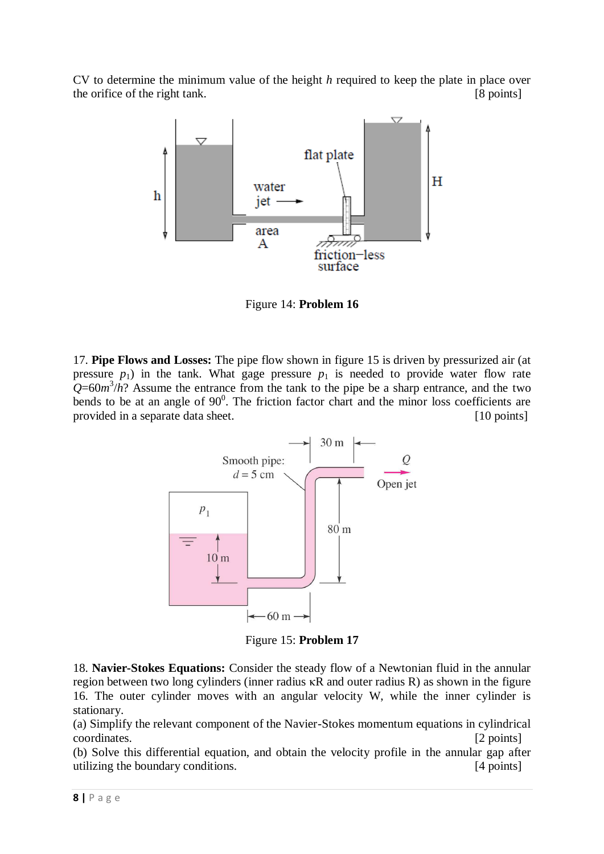CV to determine the minimum value of the height *h* required to keep the plate in place over the orifice of the right tank. [8 points]



Figure 14: **Problem 16**

17. **Pipe Flows and Losses:** The pipe flow shown in figure 15 is driven by pressurized air (at pressure  $p_1$ ) in the tank. What gage pressure  $p_1$  is needed to provide water flow rate  $Q=60m^3/h$ ? Assume the entrance from the tank to the pipe be a sharp entrance, and the two bends to be at an angle of  $90^\circ$ . The friction factor chart and the minor loss coefficients are provided in a separate data sheet. [10 points]



Figure 15: **Problem 17**

18. **Navier-Stokes Equations:** Consider the steady flow of a Newtonian fluid in the annular region between two long cylinders (inner radius κR and outer radius R) as shown in the figure 16. The outer cylinder moves with an angular velocity W, while the inner cylinder is stationary.

(a) Simplify the relevant component of the Navier-Stokes momentum equations in cylindrical coordinates. [2 points]

(b) Solve this differential equation, and obtain the velocity profile in the annular gap after utilizing the boundary conditions. [4 points]